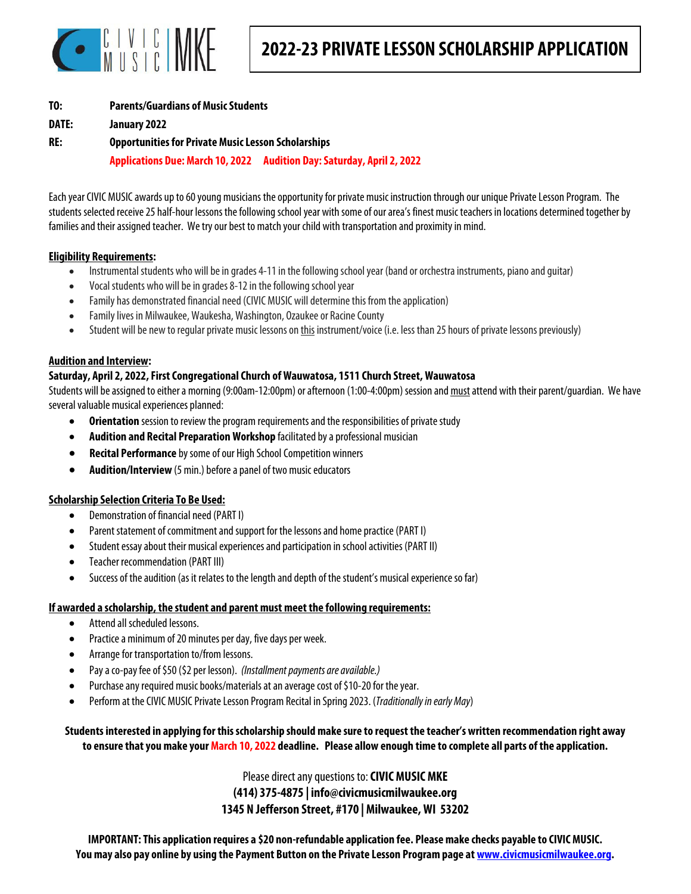

| T0:   | <b>Parents/Guardians of Music Students</b>                 |                                                                        |  |  |  |
|-------|------------------------------------------------------------|------------------------------------------------------------------------|--|--|--|
| DATE: | January 2022                                               |                                                                        |  |  |  |
| RE:   | <b>Opportunities for Private Music Lesson Scholarships</b> |                                                                        |  |  |  |
|       |                                                            | Applications Due: March 10, 2022 Audition Day: Saturday, April 2, 2022 |  |  |  |

Each year CIVIC MUSIC awards up to 60 young musicians the opportunity for private music instruction through our unique Private Lesson Program. The students selected receive 25 half-hour lessons the following school year with some of our area's finest music teachers in locations determined together by families and their assigned teacher. We try our best to match your child with transportation and proximity in mind.

#### **Eligibility Requirements:**

- Instrumental students who will be in grades 4-11 in the following school year (band or orchestra instruments, piano and guitar)
- Vocal students who will be in grades 8-12 in the following school year
- Family has demonstrated financial need (CIVIC MUSIC will determine this from the application)
- Family lives in Milwaukee, Waukesha, Washington, Ozaukee or Racine County
- Student will be new to regular private music lessons on this instrument/voice (i.e. less than 25 hours of private lessons previously)

#### **Audition and Interview:**

### **Saturday, April 2, 2022, First Congregational Church of Wauwatosa, 1511 Church Street, Wauwatosa**

Students will be assigned to either a morning (9:00am-12:00pm) or afternoon (1:00-4:00pm) session and must attend with their parent/guardian. We have several valuable musical experiences planned:

- **Orientation** session to review the program requirements and the responsibilities of private study
- **Audition and Recital Preparation Workshop** facilitated by a professional musician
- **Recital Performance** by some of our High School Competition winners
- **Audition/Interview** (5 min.) before a panel of two music educators

### **Scholarship Selection Criteria To Be Used:**

- Demonstration of financial need (PART I)
- Parent statement of commitment and support for the lessons and home practice (PART I)
- Student essay about their musical experiences and participation in school activities (PART II)
- Teacher recommendation (PART III)
- Success of the audition (as it relates to the length and depth of the student's musical experience so far)

### **If awarded a scholarship, the student and parent must meet the following requirements:**

- Attend all scheduled lessons.
- Practice a minimum of 20 minutes per day, five days per week.
- Arrange for transportation to/from lessons.
- Pay a co-pay fee of \$50 (\$2 per lesson). (Installment payments are available.)
- Purchase any required music books/materials at an average cost of \$10-20 for the year.
- Perform at the CIVIC MUSIC Private Lesson Program Recital in Spring 2023. (Traditionally in early May)

**Students interested in applying for this scholarship should make sure to request the teacher's written recommendation right away to ensure that you make your March 10, 2022 deadline. Please allow enough time to complete all parts of the application.** 

> Please direct any questions to: **CIVIC MUSIC MKE (414) 375-4875 | info@civicmusicmilwaukee.org 1345 N Jefferson Street, #170 | Milwaukee, WI 53202**

**IMPORTANT: This application requires a \$20 non-refundable application fee. Please make checks payable to CIVIC MUSIC. You may also pay online by using the Payment Button on the Private Lesson Program page at www.civicmusicmilwaukee.org.**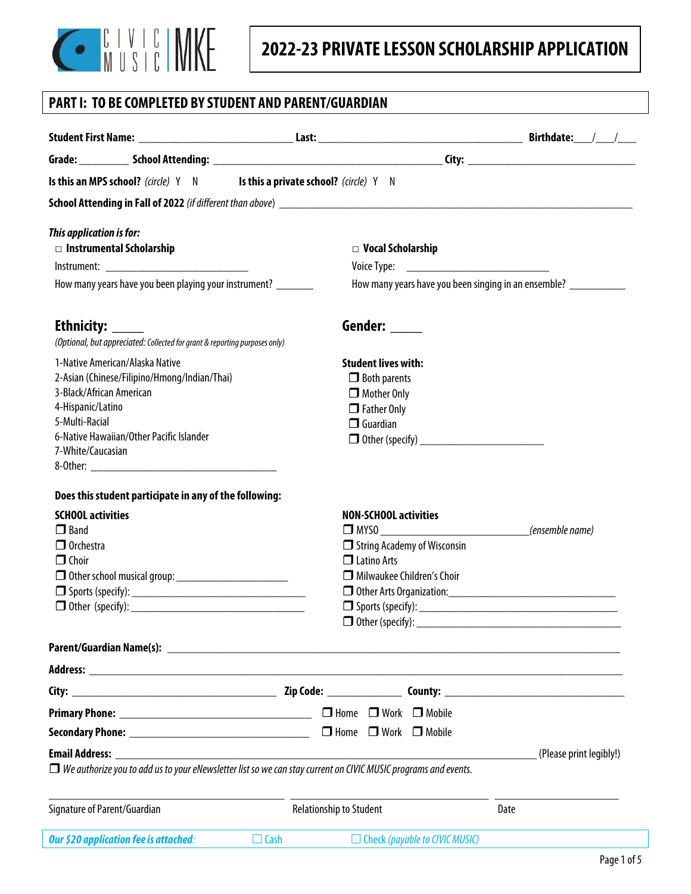

# **PART I: TO BE COMPLETED BY STUDENT AND PARENT/GUARDIAN**

|                                  | Is this an MPS school? (circle) Y N Is this a private school? (circle) Y N                                            |                              |                                                                  |                                             |                                              |                         |
|----------------------------------|-----------------------------------------------------------------------------------------------------------------------|------------------------------|------------------------------------------------------------------|---------------------------------------------|----------------------------------------------|-------------------------|
|                                  |                                                                                                                       |                              |                                                                  |                                             |                                              |                         |
| This application is for:         |                                                                                                                       |                              |                                                                  |                                             |                                              |                         |
|                                  | $\Box$ Instrumental Scholarship                                                                                       |                              |                                                                  | $\Box$ Vocal Scholarship                    |                                              |                         |
|                                  |                                                                                                                       |                              |                                                                  |                                             | Voice Type: ________________________________ |                         |
|                                  | How many years have you been playing your instrument? _______                                                         |                              | How many years have you been singing in an ensemble? ___________ |                                             |                                              |                         |
| Ethnicity: ______                |                                                                                                                       |                              |                                                                  | Gender: _____                               |                                              |                         |
|                                  | (Optional, but appreciated: Collected for grant & reporting purposes only)                                            |                              |                                                                  |                                             |                                              |                         |
|                                  | 1-Native American/Alaska Native                                                                                       |                              |                                                                  | <b>Student lives with:</b>                  |                                              |                         |
|                                  | 2-Asian (Chinese/Filipino/Hmong/Indian/Thai)                                                                          |                              | $\Box$ Both parents                                              |                                             |                                              |                         |
| 3-Black/African American         |                                                                                                                       |                              |                                                                  | $\Box$ Mother Only                          |                                              |                         |
| 4-Hispanic/Latino                |                                                                                                                       |                              |                                                                  | $\Box$ Father Only                          |                                              |                         |
| 5-Multi-Racial                   |                                                                                                                       |                              |                                                                  | $\Box$ Guardian                             |                                              |                         |
| 7-White/Caucasian                | 6-Native Hawaiian/Other Pacific Islander                                                                              |                              |                                                                  |                                             |                                              |                         |
|                                  |                                                                                                                       |                              |                                                                  |                                             |                                              |                         |
|                                  |                                                                                                                       |                              |                                                                  |                                             |                                              |                         |
|                                  | Does this student participate in any of the following:                                                                |                              |                                                                  |                                             |                                              |                         |
| <b>SCHOOL activities</b>         |                                                                                                                       | <b>NON-SCHOOL activities</b> |                                                                  |                                             |                                              |                         |
| $\Box$ Band                      |                                                                                                                       |                              |                                                                  | $\overline{\phantom{a}}$<br>(ensemble name) |                                              |                         |
| $\Box$ Orchestra<br>$\Box$ Choir |                                                                                                                       |                              |                                                                  | $\Box$ Latino Arts                          | $\Box$ String Academy of Wisconsin           |                         |
|                                  | <b>D</b> Other school musical group: ___________________________                                                      |                              |                                                                  |                                             | Milwaukee Children's Choir                   |                         |
|                                  |                                                                                                                       |                              |                                                                  |                                             |                                              |                         |
|                                  |                                                                                                                       |                              |                                                                  |                                             |                                              |                         |
|                                  |                                                                                                                       |                              |                                                                  |                                             |                                              |                         |
|                                  |                                                                                                                       |                              |                                                                  |                                             |                                              |                         |
|                                  |                                                                                                                       |                              |                                                                  |                                             |                                              |                         |
|                                  |                                                                                                                       |                              |                                                                  |                                             |                                              |                         |
|                                  |                                                                                                                       |                              |                                                                  |                                             |                                              |                         |
|                                  |                                                                                                                       |                              |                                                                  |                                             |                                              |                         |
|                                  |                                                                                                                       |                              |                                                                  |                                             |                                              | (Please print legibly!) |
|                                  | $\Box$ We authorize you to add us to your eNewsletter list so we can stay current on CIVIC MUSIC programs and events. |                              |                                                                  |                                             |                                              |                         |
| Signature of Parent/Guardian     |                                                                                                                       |                              | <b>Relationship to Student</b>                                   |                                             | Date                                         |                         |
|                                  | Our \$20 application fee is attached:                                                                                 | $\Box$ Cash                  | $\Box$ Check (payable to CIVIC MUSIC)                            |                                             |                                              |                         |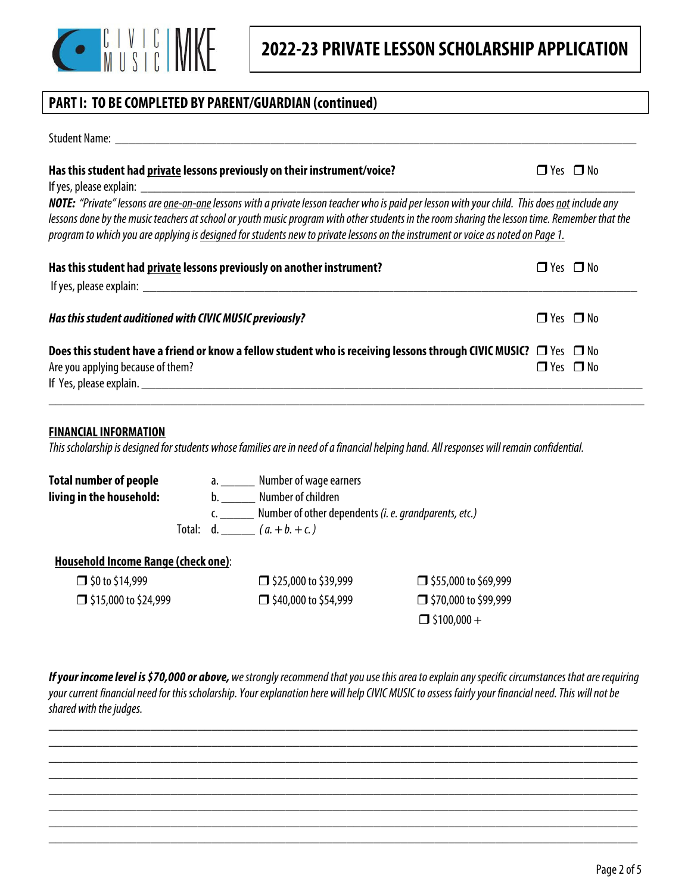

 $\Box$ \$100,000 +

# **PART I: TO BE COMPLETED BY PARENT/GUARDIAN (continued)**

| Has this student had private lessons previously on their instrument/voice?                                                                                                                                                                                                                                                                                                                                                                  | $\Box$ Yes $\Box$ No |  |  |
|---------------------------------------------------------------------------------------------------------------------------------------------------------------------------------------------------------------------------------------------------------------------------------------------------------------------------------------------------------------------------------------------------------------------------------------------|----------------------|--|--|
| NOTE: "Private" lessons are <u>one-on-one</u> lessons with a private lesson teacher who is paid per lesson with your child. This does not include any<br>lessons done by the music teachers at school or youth music program with other students in the room sharing the lesson time. Remember that the<br>program to which you are applying is designed for students new to private lessons on the instrument or voice as noted on Page 1. |                      |  |  |
| Has this student had private lessons previously on another instrument?                                                                                                                                                                                                                                                                                                                                                                      | $\Box$ Yes $\Box$ No |  |  |
| Has this student auditioned with CIVIC MUSIC previously?                                                                                                                                                                                                                                                                                                                                                                                    | $\Box$ Yes $\Box$ No |  |  |
| Does this student have a friend or know a fellow student who is receiving lessons through CIVIC MUSIC? $\Box$ Yes $\Box$ No<br>Are you applying because of them?                                                                                                                                                                                                                                                                            | $\Box$ Yes $\Box$ No |  |  |

\_\_\_\_\_\_\_\_\_\_\_\_\_\_\_\_\_\_\_\_\_\_\_\_\_\_\_\_\_\_\_\_\_\_\_\_\_\_\_\_\_\_\_\_\_\_\_\_\_\_\_\_\_\_\_\_\_\_\_\_\_\_\_\_\_\_\_\_\_\_\_\_\_\_\_\_\_\_\_\_\_\_\_\_\_\_\_\_

### **FINANCIAL INFORMATION**

This scholarship is designed for students whose families are in need of a financial helping hand. All responses will remain confidential.

| Number of wage earners<br>a. The contract of the contract of the contract of the contract of the contract of the contract of the contract<br>Second the contract of the contract of the contract of the contract of the contract of the contract of the co |                                                                |  |  |  |
|------------------------------------------------------------------------------------------------------------------------------------------------------------------------------------------------------------------------------------------------------------|----------------------------------------------------------------|--|--|--|
| Number of children<br>b.                                                                                                                                                                                                                                   |                                                                |  |  |  |
|                                                                                                                                                                                                                                                            | Number of other dependents (i. e. grandparents, etc.)          |  |  |  |
|                                                                                                                                                                                                                                                            |                                                                |  |  |  |
|                                                                                                                                                                                                                                                            |                                                                |  |  |  |
| $\Box$ \$25,000 to \$39,999                                                                                                                                                                                                                                | $\Box$ \$55,000 to \$69,999                                    |  |  |  |
| □ \$40,000 to \$54,999                                                                                                                                                                                                                                     | □ \$70,000 to \$99,999                                         |  |  |  |
|                                                                                                                                                                                                                                                            | Total: d. $(a + b + c)$<br>Household Income Range (check one): |  |  |  |

**If your income level is \$70,000 or above,** we strongly recommend that you use this area to explain any specific circumstances that are requiring your current financial need for this scholarship. Your explanation here will help CIVIC MUSIC to assess fairly your financial need. This will not be shared with the judges.

\_\_\_\_\_\_\_\_\_\_\_\_\_\_\_\_\_\_\_\_\_\_\_\_\_\_\_\_\_\_\_\_\_\_\_\_\_\_\_\_\_\_\_\_\_\_\_\_\_\_\_\_\_\_\_\_\_\_\_\_\_\_\_\_\_\_\_\_\_\_\_\_\_\_\_\_\_\_\_\_\_\_\_\_\_\_\_ \_\_\_\_\_\_\_\_\_\_\_\_\_\_\_\_\_\_\_\_\_\_\_\_\_\_\_\_\_\_\_\_\_\_\_\_\_\_\_\_\_\_\_\_\_\_\_\_\_\_\_\_\_\_\_\_\_\_\_\_\_\_\_\_\_\_\_\_\_\_\_\_\_\_\_\_\_\_\_\_\_\_\_\_\_\_\_ \_\_\_\_\_\_\_\_\_\_\_\_\_\_\_\_\_\_\_\_\_\_\_\_\_\_\_\_\_\_\_\_\_\_\_\_\_\_\_\_\_\_\_\_\_\_\_\_\_\_\_\_\_\_\_\_\_\_\_\_\_\_\_\_\_\_\_\_\_\_\_\_\_\_\_\_\_\_\_\_\_\_\_\_\_\_\_ \_\_\_\_\_\_\_\_\_\_\_\_\_\_\_\_\_\_\_\_\_\_\_\_\_\_\_\_\_\_\_\_\_\_\_\_\_\_\_\_\_\_\_\_\_\_\_\_\_\_\_\_\_\_\_\_\_\_\_\_\_\_\_\_\_\_\_\_\_\_\_\_\_\_\_\_\_\_\_\_\_\_\_\_\_\_\_ \_\_\_\_\_\_\_\_\_\_\_\_\_\_\_\_\_\_\_\_\_\_\_\_\_\_\_\_\_\_\_\_\_\_\_\_\_\_\_\_\_\_\_\_\_\_\_\_\_\_\_\_\_\_\_\_\_\_\_\_\_\_\_\_\_\_\_\_\_\_\_\_\_\_\_\_\_\_\_\_\_\_\_\_\_\_\_ \_\_\_\_\_\_\_\_\_\_\_\_\_\_\_\_\_\_\_\_\_\_\_\_\_\_\_\_\_\_\_\_\_\_\_\_\_\_\_\_\_\_\_\_\_\_\_\_\_\_\_\_\_\_\_\_\_\_\_\_\_\_\_\_\_\_\_\_\_\_\_\_\_\_\_\_\_\_\_\_\_\_\_\_\_\_\_ \_\_\_\_\_\_\_\_\_\_\_\_\_\_\_\_\_\_\_\_\_\_\_\_\_\_\_\_\_\_\_\_\_\_\_\_\_\_\_\_\_\_\_\_\_\_\_\_\_\_\_\_\_\_\_\_\_\_\_\_\_\_\_\_\_\_\_\_\_\_\_\_\_\_\_\_\_\_\_\_\_\_\_\_\_\_\_ \_\_\_\_\_\_\_\_\_\_\_\_\_\_\_\_\_\_\_\_\_\_\_\_\_\_\_\_\_\_\_\_\_\_\_\_\_\_\_\_\_\_\_\_\_\_\_\_\_\_\_\_\_\_\_\_\_\_\_\_\_\_\_\_\_\_\_\_\_\_\_\_\_\_\_\_\_\_\_\_\_\_\_\_\_\_\_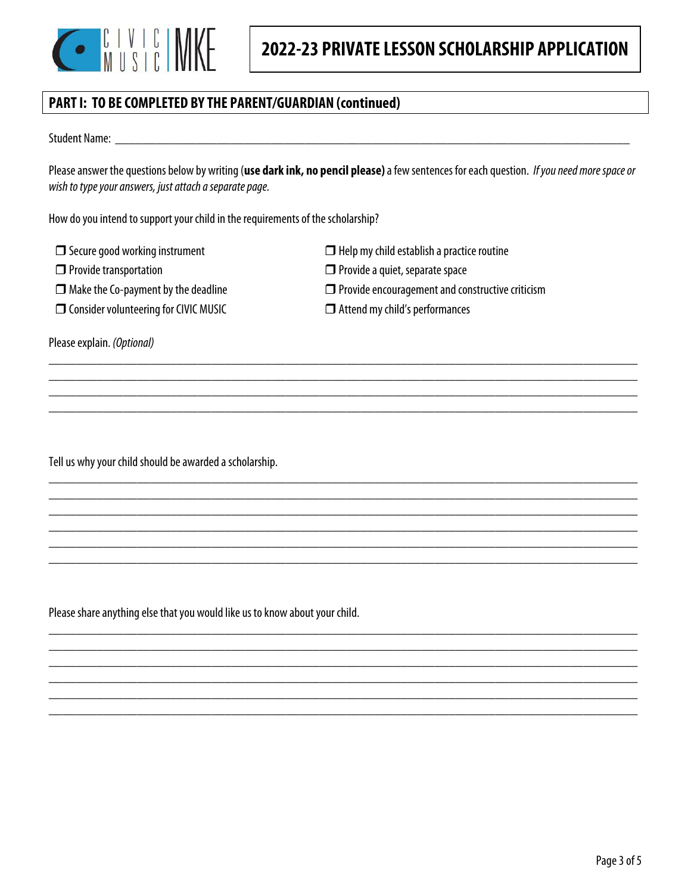

 $\Box$  Help my child establish a practice routine

 $\Box$  Provide encouragement and constructive criticism

 $\Box$  Provide a quiet, separate space

Attend my child's performances

## **PART I: TO BE COMPLETED BY THE PARENT/GUARDIAN (continued)**

Student Name: \_\_\_\_\_\_\_\_\_\_\_\_\_\_\_\_\_\_\_\_\_\_\_\_\_\_\_\_\_\_\_\_\_\_\_\_\_\_\_\_\_\_\_\_\_\_\_\_\_\_\_\_\_\_\_\_\_\_\_\_\_\_\_\_\_\_\_\_\_\_\_\_\_\_\_\_

Please answer the questions below by writing (**use dark ink, no pencil please)** a few sentences for each question. If you need more space or wish to type your answers, just attach a separate page.

\_\_\_\_\_\_\_\_\_\_\_\_\_\_\_\_\_\_\_\_\_\_\_\_\_\_\_\_\_\_\_\_\_\_\_\_\_\_\_\_\_\_\_\_\_\_\_\_\_\_\_\_\_\_\_\_\_\_\_\_\_\_\_\_\_\_\_\_\_\_\_\_\_\_\_\_\_\_\_\_\_\_\_\_\_\_\_ \_\_\_\_\_\_\_\_\_\_\_\_\_\_\_\_\_\_\_\_\_\_\_\_\_\_\_\_\_\_\_\_\_\_\_\_\_\_\_\_\_\_\_\_\_\_\_\_\_\_\_\_\_\_\_\_\_\_\_\_\_\_\_\_\_\_\_\_\_\_\_\_\_\_\_\_\_\_\_\_\_\_\_\_\_\_\_ \_\_\_\_\_\_\_\_\_\_\_\_\_\_\_\_\_\_\_\_\_\_\_\_\_\_\_\_\_\_\_\_\_\_\_\_\_\_\_\_\_\_\_\_\_\_\_\_\_\_\_\_\_\_\_\_\_\_\_\_\_\_\_\_\_\_\_\_\_\_\_\_\_\_\_\_\_\_\_\_\_\_\_\_\_\_\_ \_\_\_\_\_\_\_\_\_\_\_\_\_\_\_\_\_\_\_\_\_\_\_\_\_\_\_\_\_\_\_\_\_\_\_\_\_\_\_\_\_\_\_\_\_\_\_\_\_\_\_\_\_\_\_\_\_\_\_\_\_\_\_\_\_\_\_\_\_\_\_\_\_\_\_\_\_\_\_\_\_\_\_\_\_\_\_

\_\_\_\_\_\_\_\_\_\_\_\_\_\_\_\_\_\_\_\_\_\_\_\_\_\_\_\_\_\_\_\_\_\_\_\_\_\_\_\_\_\_\_\_\_\_\_\_\_\_\_\_\_\_\_\_\_\_\_\_\_\_\_\_\_\_\_\_\_\_\_\_\_\_\_\_\_\_\_\_\_\_\_\_\_\_\_ \_\_\_\_\_\_\_\_\_\_\_\_\_\_\_\_\_\_\_\_\_\_\_\_\_\_\_\_\_\_\_\_\_\_\_\_\_\_\_\_\_\_\_\_\_\_\_\_\_\_\_\_\_\_\_\_\_\_\_\_\_\_\_\_\_\_\_\_\_\_\_\_\_\_\_\_\_\_\_\_\_\_\_\_\_\_\_ \_\_\_\_\_\_\_\_\_\_\_\_\_\_\_\_\_\_\_\_\_\_\_\_\_\_\_\_\_\_\_\_\_\_\_\_\_\_\_\_\_\_\_\_\_\_\_\_\_\_\_\_\_\_\_\_\_\_\_\_\_\_\_\_\_\_\_\_\_\_\_\_\_\_\_\_\_\_\_\_\_\_\_\_\_\_\_ \_\_\_\_\_\_\_\_\_\_\_\_\_\_\_\_\_\_\_\_\_\_\_\_\_\_\_\_\_\_\_\_\_\_\_\_\_\_\_\_\_\_\_\_\_\_\_\_\_\_\_\_\_\_\_\_\_\_\_\_\_\_\_\_\_\_\_\_\_\_\_\_\_\_\_\_\_\_\_\_\_\_\_\_\_\_\_ \_\_\_\_\_\_\_\_\_\_\_\_\_\_\_\_\_\_\_\_\_\_\_\_\_\_\_\_\_\_\_\_\_\_\_\_\_\_\_\_\_\_\_\_\_\_\_\_\_\_\_\_\_\_\_\_\_\_\_\_\_\_\_\_\_\_\_\_\_\_\_\_\_\_\_\_\_\_\_\_\_\_\_\_\_\_\_ \_\_\_\_\_\_\_\_\_\_\_\_\_\_\_\_\_\_\_\_\_\_\_\_\_\_\_\_\_\_\_\_\_\_\_\_\_\_\_\_\_\_\_\_\_\_\_\_\_\_\_\_\_\_\_\_\_\_\_\_\_\_\_\_\_\_\_\_\_\_\_\_\_\_\_\_\_\_\_\_\_\_\_\_\_\_\_

\_\_\_\_\_\_\_\_\_\_\_\_\_\_\_\_\_\_\_\_\_\_\_\_\_\_\_\_\_\_\_\_\_\_\_\_\_\_\_\_\_\_\_\_\_\_\_\_\_\_\_\_\_\_\_\_\_\_\_\_\_\_\_\_\_\_\_\_\_\_\_\_\_\_\_\_\_\_\_\_\_\_\_\_\_\_\_ \_\_\_\_\_\_\_\_\_\_\_\_\_\_\_\_\_\_\_\_\_\_\_\_\_\_\_\_\_\_\_\_\_\_\_\_\_\_\_\_\_\_\_\_\_\_\_\_\_\_\_\_\_\_\_\_\_\_\_\_\_\_\_\_\_\_\_\_\_\_\_\_\_\_\_\_\_\_\_\_\_\_\_\_\_\_\_ \_\_\_\_\_\_\_\_\_\_\_\_\_\_\_\_\_\_\_\_\_\_\_\_\_\_\_\_\_\_\_\_\_\_\_\_\_\_\_\_\_\_\_\_\_\_\_\_\_\_\_\_\_\_\_\_\_\_\_\_\_\_\_\_\_\_\_\_\_\_\_\_\_\_\_\_\_\_\_\_\_\_\_\_\_\_\_ \_\_\_\_\_\_\_\_\_\_\_\_\_\_\_\_\_\_\_\_\_\_\_\_\_\_\_\_\_\_\_\_\_\_\_\_\_\_\_\_\_\_\_\_\_\_\_\_\_\_\_\_\_\_\_\_\_\_\_\_\_\_\_\_\_\_\_\_\_\_\_\_\_\_\_\_\_\_\_\_\_\_\_\_\_\_\_ \_\_\_\_\_\_\_\_\_\_\_\_\_\_\_\_\_\_\_\_\_\_\_\_\_\_\_\_\_\_\_\_\_\_\_\_\_\_\_\_\_\_\_\_\_\_\_\_\_\_\_\_\_\_\_\_\_\_\_\_\_\_\_\_\_\_\_\_\_\_\_\_\_\_\_\_\_\_\_\_\_\_\_\_\_\_\_ \_\_\_\_\_\_\_\_\_\_\_\_\_\_\_\_\_\_\_\_\_\_\_\_\_\_\_\_\_\_\_\_\_\_\_\_\_\_\_\_\_\_\_\_\_\_\_\_\_\_\_\_\_\_\_\_\_\_\_\_\_\_\_\_\_\_\_\_\_\_\_\_\_\_\_\_\_\_\_\_\_\_\_\_\_\_\_

How do you intend to support your child in the requirements of the scholarship?

- $\Box$  Secure good working instrument
- **D** Provide transportation
- $\Box$  Make the Co-payment by the deadline
- **CO** Consider volunteering for CIVIC MUSIC

Please explain. (Optional)

Tell us why your child should be awarded a scholarship.

Please share anything else that you would like us to know about your child.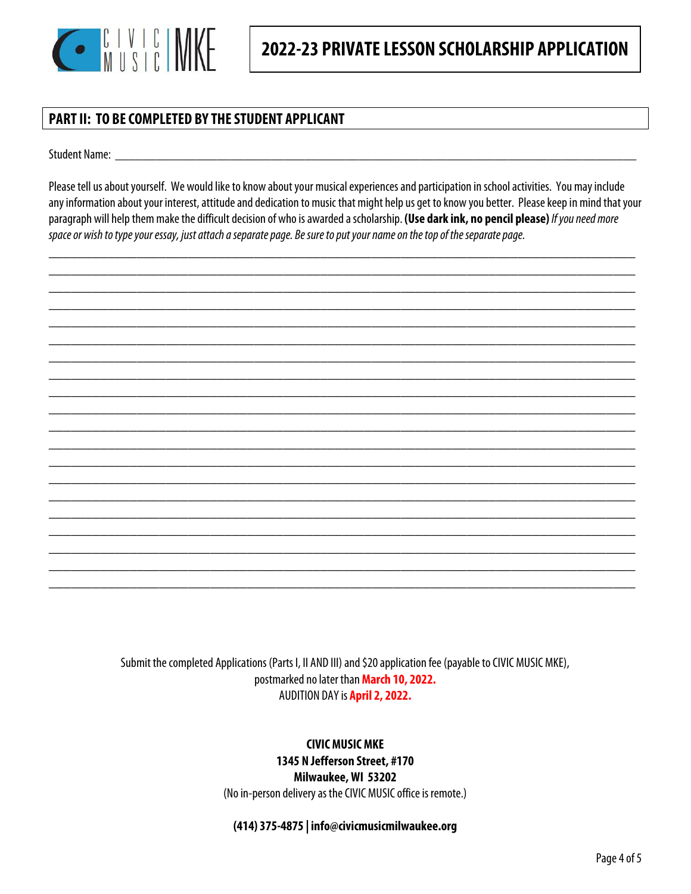

### **PART II: TO BE COMPLETED BY THE STUDENT APPLICANT**

Student Name:

Please tell us about yourself. We would like to know about your musical experiences and participation in school activities. You may include any information about your interest, attitude and dedication to music that might help us get to know you better. Please keep in mind that your paragraph will help them make the difficult decision of who is awarded a scholarship. **(Use dark ink, no pencil please)** If you need more space or wish to type your essay, just attach a separate page. Be sure to put your name on the top of the separate page.

\_\_\_\_\_\_\_\_\_\_\_\_\_\_\_\_\_\_\_\_\_\_\_\_\_\_\_\_\_\_\_\_\_\_\_\_\_\_\_\_\_\_\_\_\_\_\_\_\_\_\_\_\_\_\_\_\_\_\_\_\_\_\_\_\_\_\_\_\_\_\_\_\_\_\_\_\_\_\_\_



Submit the completed Applications (Parts I, II AND III) and \$20 application fee (payable to CIVIC MUSIC MKE), postmarked no later than **March 10, 2022.**  AUDITION DAY is **April 2, 2022.** 

> **CIVIC MUSIC MKE 1345 N Jefferson Street, #170 Milwaukee, WI 53202**  (No in-person delivery as the CIVIC MUSIC office is remote.)

**(414) 375-4875 | info@civicmusicmilwaukee.org**